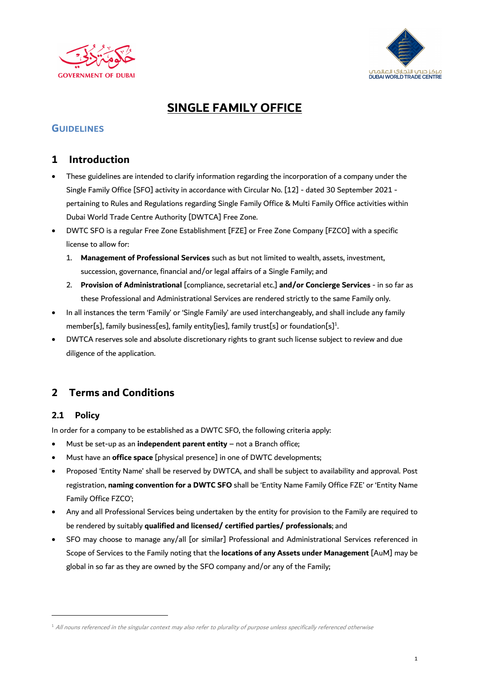



## **SINGLE FAMILY OFFICE**

#### **GUIDELINES**

#### **1 Introduction**

- These guidelines are intended to clarify information regarding the incorporation of a company under the Single Family Office [SFO] activity in accordance with Circular No. [12] - dated 30 September 2021 pertaining to Rules and Regulations regarding Single Family Office & Multi Family Office activities within Dubai World Trade Centre Authority [DWTCA] Free Zone.
- DWTC SFO is a regular Free Zone Establishment [FZE] or Free Zone Company [FZCO] with a specific license to allow for:
	- 1. **Management of Professional Services** such as but not limited to wealth, assets, investment, succession, governance, financial and/or legal affairs of a Single Family; and
	- 2. **Provision of Administrational** [compliance, secretarial etc.] **and/or Concierge Services** in so far as these Professional and Administrational Services are rendered strictly to the same Family only.
- In all instances the term 'Family' or 'Single Family' are used interchangeably, and shall include any family member[s], family business[es], family entity[ies], family trust[s] or foundation[s]<sup>1</sup>. .
- DWTCA reserves sole and absolute discretionary rights to grant such license subject to review and due diligence of the application.

## **2 Terms and Conditions**

#### **2.1 Policy**

In order for a company to be established as a DWTC SFO, the following criteria apply:

- Must be set-up as an **independent parent entity** not a Branch office;
- Must have an **office space** [physical presence] in one of DWTC developments;
- Proposed 'Entity Name' shall be reserved by DWTCA, and shall be subject to availability and approval. Post registration, **naming convention for a DWTC SFO** shall be 'Entity Name Family Office FZE' or 'Entity Name Family Office FZCO';
- Any and all Professional Services being undertaken by the entity for provision to the Family are required to be rendered by suitably **qualified and licensed/ certified parties/ professionals**; and
- SFO may choose to manage any/all [or similar] Professional and Administrational Services referenced in Scope of Services to the Family noting that the **locations of any Assets under Management** [AuM] may be global in so far as they are owned by the SFO company and/or any of the Family;

 $^1$  All nouns referenced in the singular context may also refer to plurality of purpose unless specifically referenced otherwise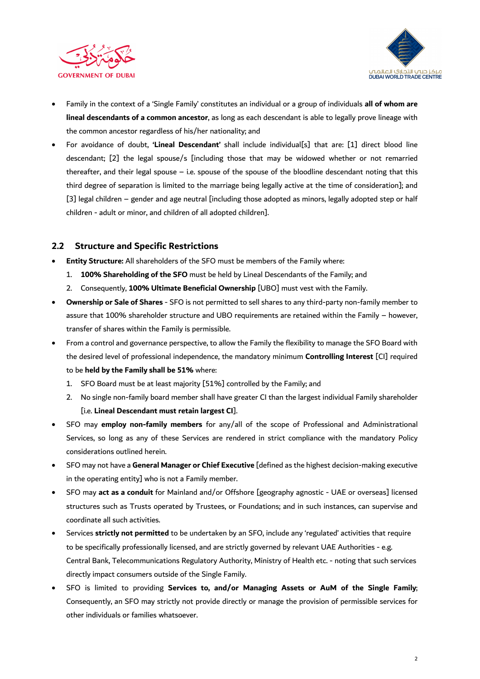



- Family in the context of a 'Single Family' constitutes an individual or a group of individuals **all of whom are lineal descendants of a common ancestor**, as long as each descendant is able to legally prove lineage with the common ancestor regardless of his/her nationality; and
- For avoidance of doubt, **'Lineal Descendant'** shall include individual[s] that are: [1] direct blood line descendant; [2] the legal spouse/s [including those that may be widowed whether or not remarried thereafter, and their legal spouse – i.e. spouse of the spouse of the bloodline descendant noting that this third degree of separation is limited to the marriage being legally active at the time of consideration]; and [3] legal children – gender and age neutral [including those adopted as minors, legally adopted step or half children - adult or minor, and children of all adopted children].

#### **2.2 Structure and Specific Restrictions**

- **Entity Structure:** All shareholders of the SFO must be members of the Family where:
	- 1. **100% Shareholding of the SFO** must be held by Lineal Descendants of the Family; and
	- 2. Consequently, **100% Ultimate Beneficial Ownership** [UBO] must vest with the Family.
- **Ownership or Sale of Shares** SFO is not permitted to sell shares to any third-party non-family member to assure that 100% shareholder structure and UBO requirements are retained within the Family – however, transfer of shares within the Family is permissible.
- From a control and governance perspective, to allow the Family the flexibility to manage the SFO Board with the desired level of professional independence, the mandatory minimum **Controlling Interest** [CI] required to be **held by the Family shall be 51%** where:
	- 1. SFO Board must be at least majority [51%] controlled by the Family; and
	- 2. No single non-family board member shall have greater CI than the largest individual Family shareholder [i.e. **Lineal Descendant must retain largest CI**].
- SFO may **employ non-family members** for any/all of the scope of Professional and Administrational Services, so long as any of these Services are rendered in strict compliance with the mandatory Policy considerations outlined herein.
- SFO may not have a **General Manager or Chief Executive** [defined as the highest decision-making executive in the operating entity] who is not a Family member.
- SFO may **act as a conduit** for Mainland and/or Offshore [geography agnostic UAE or overseas] licensed structures such as Trusts operated by Trustees, or Foundations; and in such instances, can supervise and coordinate all such activities.
- Services **strictly not permitted** to be undertaken by an SFO, include any 'regulated' activities that require to be specifically professionally licensed, and are strictly governed by relevant UAE Authorities - e.g. Central Bank, Telecommunications Regulatory Authority, Ministry of Health etc. - noting that such services directly impact consumers outside of the Single Family.
- SFO is limited to providing **Services to, and/or Managing Assets or AuM of the Single Family**; Consequently, an SFO may strictly not provide directly or manage the provision of permissible services for other individuals or families whatsoever.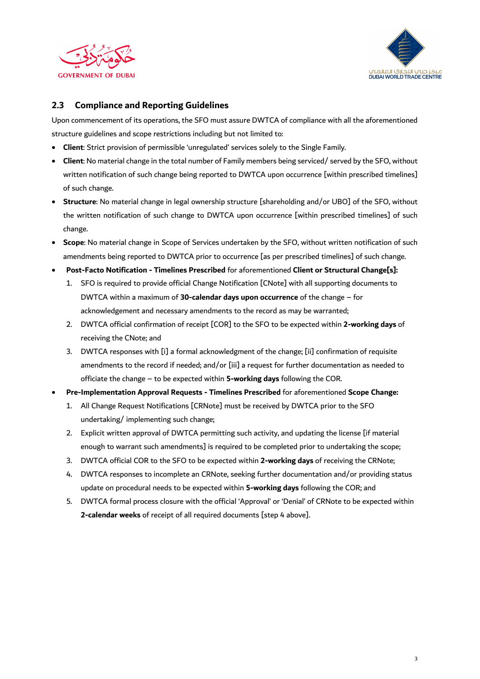



#### **2.3 Compliance and Reporting Guidelines**

Upon commencement of its operations, the SFO must assure DWTCA of compliance with all the aforementioned structure guidelines and scope restrictions including but not limited to:

- **Client**: Strict provision of permissible 'unregulated' services solely to the Single Family.
- **Client**: No material change in the total number of Family members being serviced/ served by the SFO, without written notification of such change being reported to DWTCA upon occurrence [within prescribed timelines] of such change.
- **Structure**: No material change in legal ownership structure [shareholding and/or UBO] of the SFO, without the written notification of such change to DWTCA upon occurrence [within prescribed timelines] of such change.
- **Scope**: No material change in Scope of Services undertaken by the SFO, without written notification of such amendments being reported to DWTCA prior to occurrence [as per prescribed timelines] of such change.
- **Post-Facto Notification - Timelines Prescribed** for aforementioned **Client or Structural Change[s]:** 
	- 1. SFO is required to provide official Change Notification [CNote] with all supporting documents to DWTCA within a maximum of **30-calendar days upon occurrence** of the change – for acknowledgement and necessary amendments to the record as may be warranted;
	- 2. DWTCA official confirmation of receipt [COR] to the SFO to be expected within **2-working days** of receiving the CNote; and
	- 3. DWTCA responses with [i] a formal acknowledgment of the change; [ii] confirmation of requisite amendments to the record if needed; and/or [iii] a request for further documentation as needed to officiate the change – to be expected within **5-working days** following the COR.
- **Pre-Implementation Approval Requests - Timelines Prescribed** for aforementioned **Scope Change:**
	- 1. All Change Request Notifications [CRNote] must be received by DWTCA prior to the SFO undertaking/ implementing such change;
	- 2. Explicit written approval of DWTCA permitting such activity, and updating the license [if material enough to warrant such amendments] is required to be completed prior to undertaking the scope;
	- 3. DWTCA official COR to the SFO to be expected within **2-working days** of receiving the CRNote;
	- 4. DWTCA responses to incomplete an CRNote, seeking further documentation and/or providing status update on procedural needs to be expected within **5-working days** following the COR; and
	- 5. DWTCA formal process closure with the official 'Approval' or 'Denial' of CRNote to be expected within **2-calendar weeks** of receipt of all required documents [step 4 above].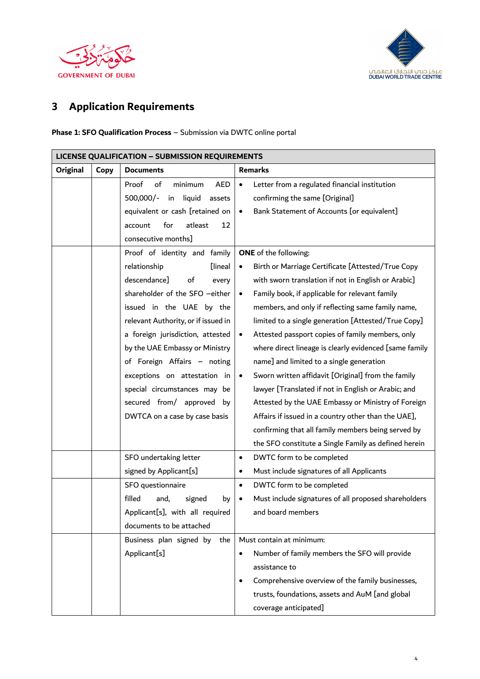



# **3 Application Requirements**

#### **Phase 1: SFO Qualification Process** – Submission via DWTC online portal

| <b>LICENSE QUALIFICATION - SUBMISSION REQUIREMENTS</b> |      |                                      |                                                                 |  |  |  |
|--------------------------------------------------------|------|--------------------------------------|-----------------------------------------------------------------|--|--|--|
| Original                                               | Copy | <b>Documents</b>                     | <b>Remarks</b>                                                  |  |  |  |
|                                                        |      | Proof<br>minimum<br>of<br><b>AED</b> | Letter from a regulated financial institution<br>$\bullet$      |  |  |  |
|                                                        |      | liquid<br>500,000/-<br>in<br>assets  | confirming the same [Original]                                  |  |  |  |
|                                                        |      | equivalent or cash [retained on      | Bank Statement of Accounts [or equivalent]<br>$\bullet$         |  |  |  |
|                                                        |      | atleast<br>for<br>account<br>12      |                                                                 |  |  |  |
|                                                        |      | consecutive months]                  |                                                                 |  |  |  |
|                                                        |      | Proof of identity and family         | <b>ONE</b> of the following:                                    |  |  |  |
|                                                        |      | relationship<br><b>Iineal</b>        | Birth or Marriage Certificate [Attested/True Copy               |  |  |  |
|                                                        |      | descendance]<br>of<br>every          | with sworn translation if not in English or Arabic]             |  |  |  |
|                                                        |      | shareholder of the SFO -either       | Family book, if applicable for relevant family<br>$\bullet$     |  |  |  |
|                                                        |      | issued in the UAE by the             | members, and only if reflecting same family name,               |  |  |  |
|                                                        |      | relevant Authority, or if issued in  | limited to a single generation [Attested/True Copy]             |  |  |  |
|                                                        |      | a foreign jurisdiction, attested     | Attested passport copies of family members, only                |  |  |  |
|                                                        |      | by the UAE Embassy or Ministry       | where direct lineage is clearly evidenced [same family          |  |  |  |
|                                                        |      | of Foreign Affairs - noting          | name] and limited to a single generation                        |  |  |  |
|                                                        |      | exceptions on attestation in         | Sworn written affidavit [Original] from the family<br>$\bullet$ |  |  |  |
|                                                        |      | special circumstances may be         | lawyer [Translated if not in English or Arabic; and             |  |  |  |
|                                                        |      | secured from/ approved by            | Attested by the UAE Embassy or Ministry of Foreign              |  |  |  |
|                                                        |      | DWTCA on a case by case basis        | Affairs if issued in a country other than the UAE],             |  |  |  |
|                                                        |      |                                      | confirming that all family members being served by              |  |  |  |
|                                                        |      |                                      | the SFO constitute a Single Family as defined herein            |  |  |  |
|                                                        |      | SFO undertaking letter               | DWTC form to be completed<br>$\bullet$                          |  |  |  |
|                                                        |      | signed by Applicant[s]               | Must include signatures of all Applicants<br>٠                  |  |  |  |
|                                                        |      | SFO questionnaire                    | DWTC form to be completed<br>$\bullet$                          |  |  |  |
|                                                        |      | filled<br>and,<br>signed<br>by       | Must include signatures of all proposed shareholders            |  |  |  |
|                                                        |      | Applicant[s], with all required      | and board members                                               |  |  |  |
|                                                        |      | documents to be attached             |                                                                 |  |  |  |
|                                                        |      | Business plan signed by<br>the       | Must contain at minimum:                                        |  |  |  |
|                                                        |      | Applicant[s]                         | Number of family members the SFO will provide<br>$\bullet$      |  |  |  |
|                                                        |      |                                      | assistance to                                                   |  |  |  |
|                                                        |      |                                      | Comprehensive overview of the family businesses,                |  |  |  |
|                                                        |      |                                      | trusts, foundations, assets and AuM [and global                 |  |  |  |
|                                                        |      |                                      | coverage anticipated]                                           |  |  |  |